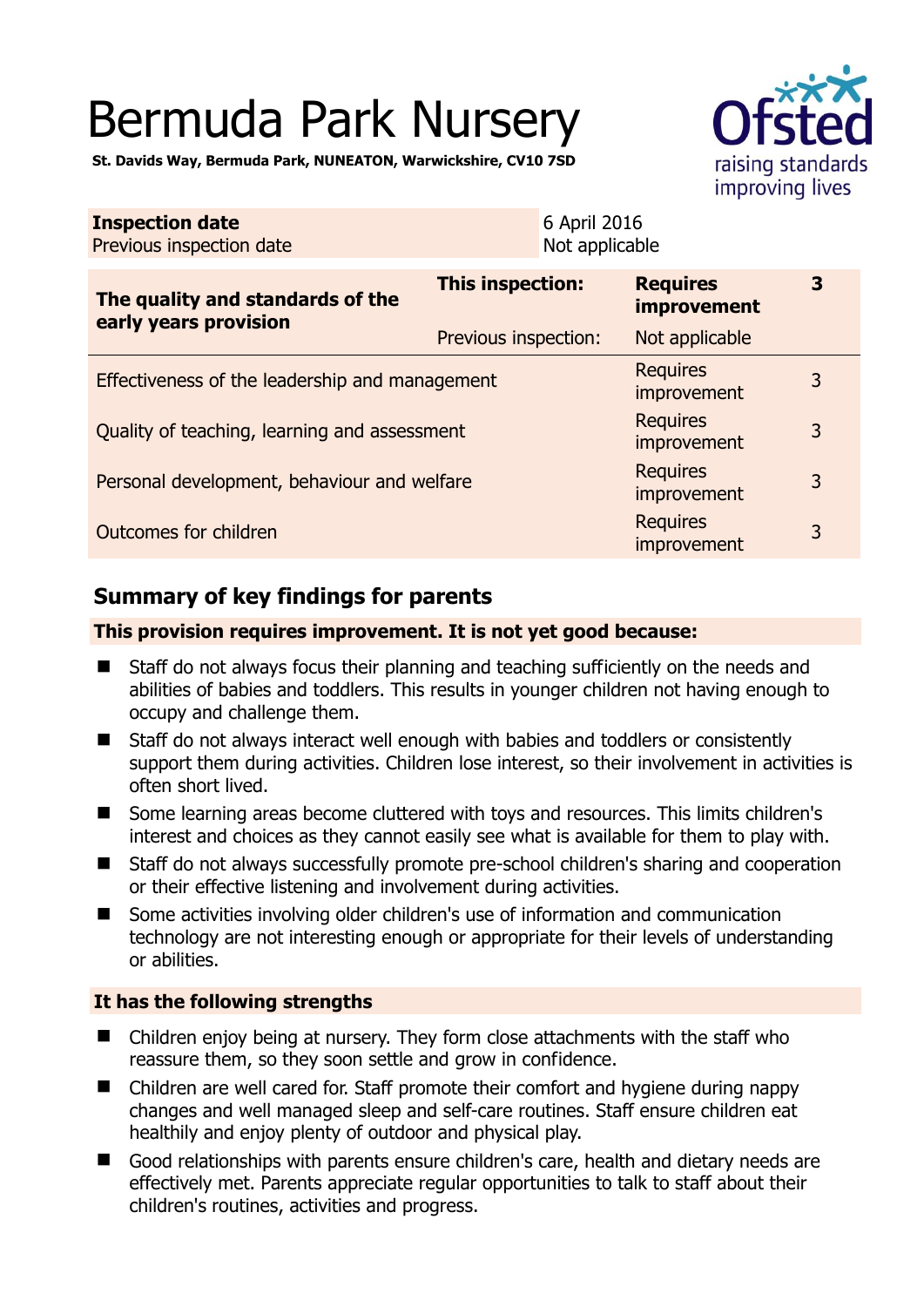# Bermuda Park Nursery

**St. Davids Way, Bermuda Park, NUNEATON, Warwickshire, CV10 7SD** 

| <b>Inspection date</b><br>Previous inspection date        |                      | 6 April 2016<br>Not applicable |                                       |   |
|-----------------------------------------------------------|----------------------|--------------------------------|---------------------------------------|---|
| The quality and standards of the<br>early years provision | This inspection:     |                                | <b>Requires</b><br><b>improvement</b> | 3 |
|                                                           | Previous inspection: |                                | Not applicable                        |   |
| Effectiveness of the leadership and management            |                      |                                | <b>Requires</b><br>improvement        | 3 |
| Quality of teaching, learning and assessment              |                      |                                | <b>Requires</b><br>improvement        | 3 |
| Personal development, behaviour and welfare               |                      |                                | <b>Requires</b><br>improvement        | 3 |
| Outcomes for children                                     |                      |                                | <b>Requires</b><br>improvement        | 3 |

# **Summary of key findings for parents**

## **This provision requires improvement. It is not yet good because:**

- Staff do not always focus their planning and teaching sufficiently on the needs and abilities of babies and toddlers. This results in younger children not having enough to occupy and challenge them.
- Staff do not always interact well enough with babies and toddlers or consistently support them during activities. Children lose interest, so their involvement in activities is often short lived.
- Some learning areas become cluttered with toys and resources. This limits children's interest and choices as they cannot easily see what is available for them to play with.
- Staff do not always successfully promote pre-school children's sharing and cooperation or their effective listening and involvement during activities.
- Some activities involving older children's use of information and communication technology are not interesting enough or appropriate for their levels of understanding or abilities.

## **It has the following strengths**

- Children enjoy being at nursery. They form close attachments with the staff who reassure them, so they soon settle and grow in confidence.
- Children are well cared for. Staff promote their comfort and hygiene during nappy changes and well managed sleep and self-care routines. Staff ensure children eat healthily and enjoy plenty of outdoor and physical play.
- Good relationships with parents ensure children's care, health and dietary needs are effectively met. Parents appreciate regular opportunities to talk to staff about their children's routines, activities and progress.

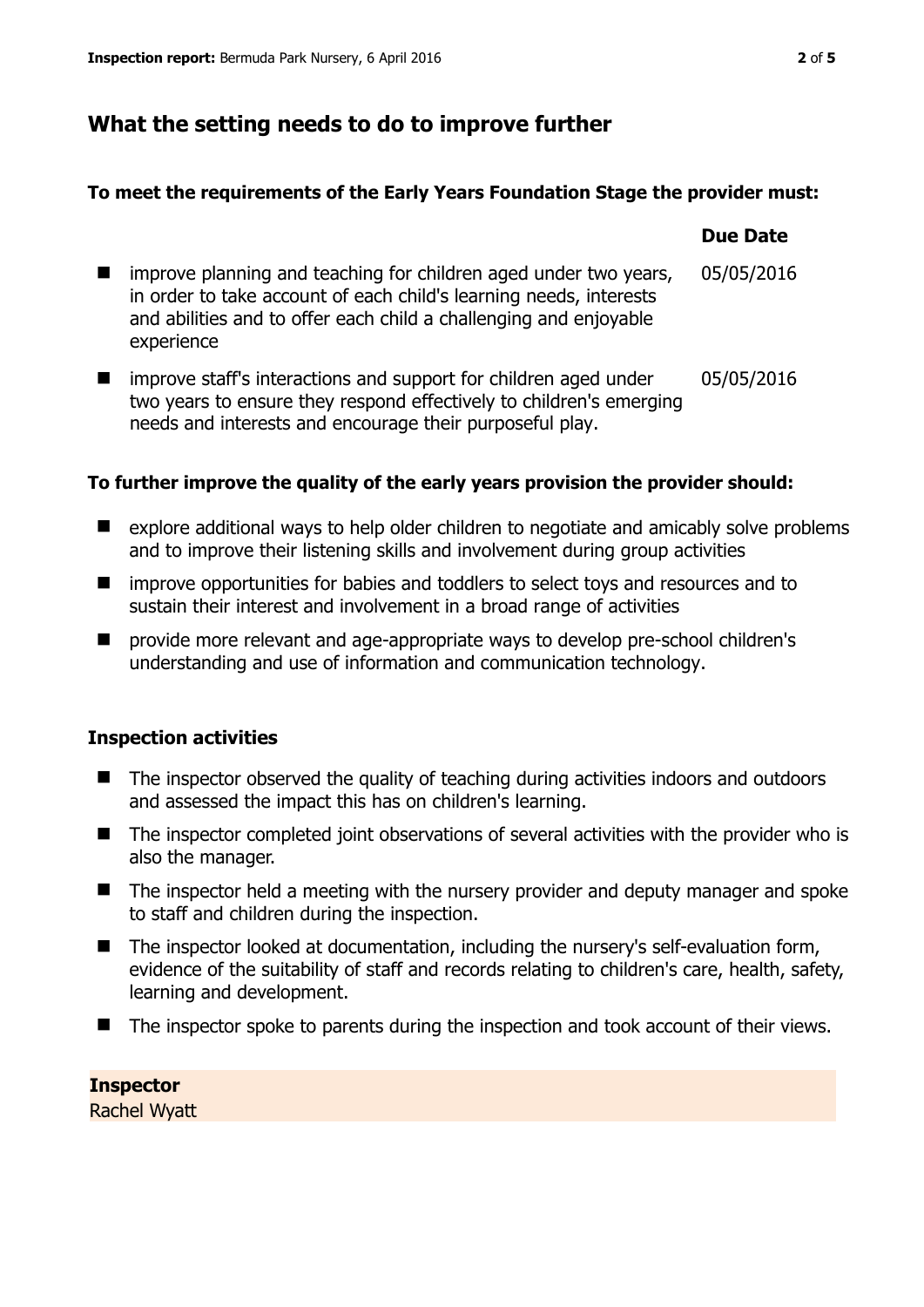# **What the setting needs to do to improve further**

needs and interests and encourage their purposeful play.

## **To meet the requirements of the Early Years Foundation Stage the provider must:**

|                |                                                                                                                                                                                                                           | <b>Due Date</b> |
|----------------|---------------------------------------------------------------------------------------------------------------------------------------------------------------------------------------------------------------------------|-----------------|
| $\blacksquare$ | improve planning and teaching for children aged under two years,<br>in order to take account of each child's learning needs, interests<br>and abilities and to offer each child a challenging and enjoyable<br>experience | 05/05/2016      |
|                | improve staff's interactions and support for children aged under<br>two years to ensure they respond effectively to children's emerging                                                                                   | 05/05/2016      |

## **To further improve the quality of the early years provision the provider should:**

- explore additional ways to help older children to negotiate and amicably solve problems and to improve their listening skills and involvement during group activities
- **I** improve opportunities for babies and toddlers to select toys and resources and to sustain their interest and involvement in a broad range of activities
- provide more relevant and age-appropriate ways to develop pre-school children's understanding and use of information and communication technology.

## **Inspection activities**

- The inspector observed the quality of teaching during activities indoors and outdoors and assessed the impact this has on children's learning.
- The inspector completed joint observations of several activities with the provider who is also the manager.
- The inspector held a meeting with the nursery provider and deputy manager and spoke to staff and children during the inspection.
- The inspector looked at documentation, including the nursery's self-evaluation form, evidence of the suitability of staff and records relating to children's care, health, safety, learning and development.
- The inspector spoke to parents during the inspection and took account of their views.

# **Inspector**

Rachel Wyatt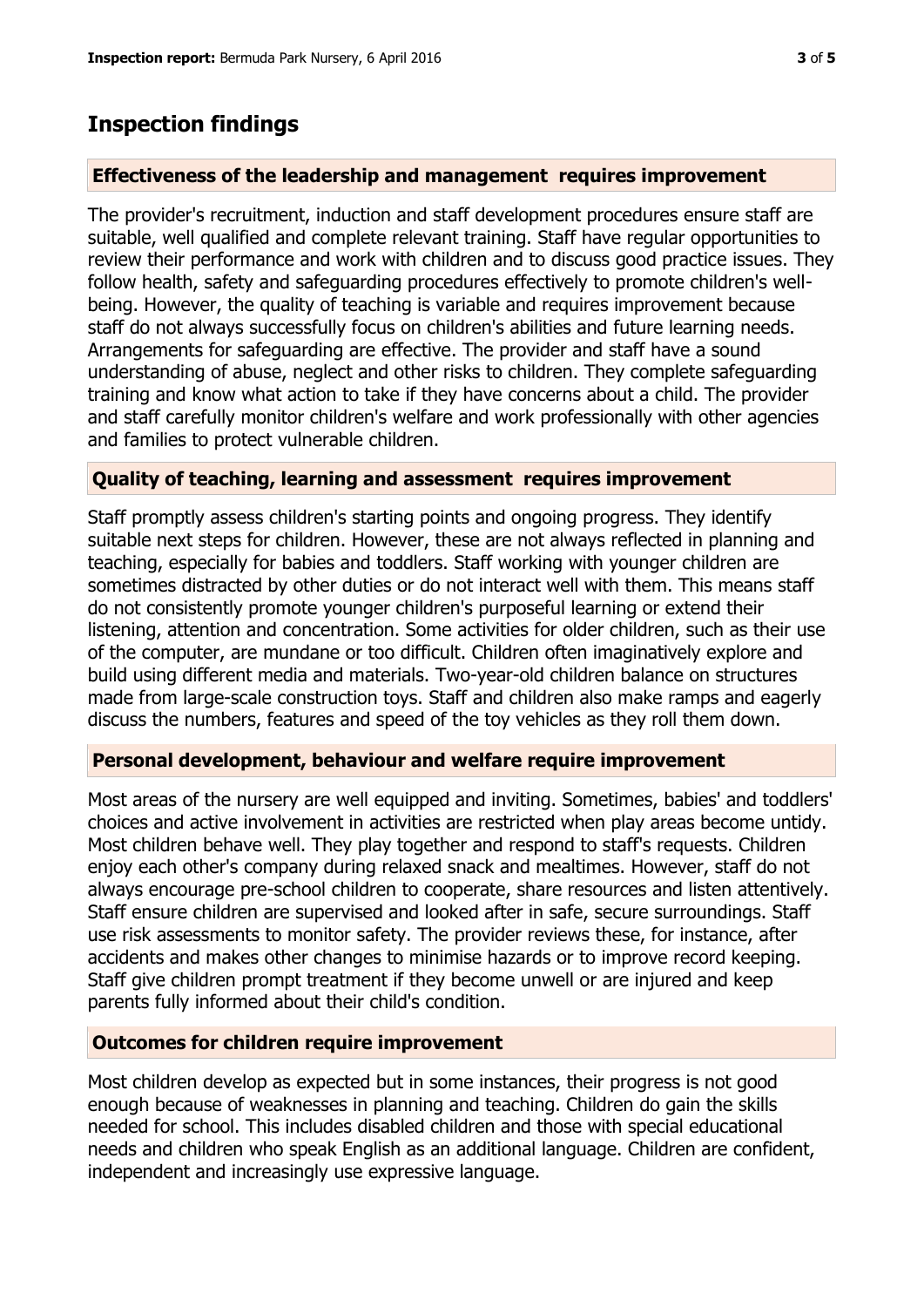## **Inspection findings**

## **Effectiveness of the leadership and management requires improvement**

The provider's recruitment, induction and staff development procedures ensure staff are suitable, well qualified and complete relevant training. Staff have regular opportunities to review their performance and work with children and to discuss good practice issues. They follow health, safety and safeguarding procedures effectively to promote children's wellbeing. However, the quality of teaching is variable and requires improvement because staff do not always successfully focus on children's abilities and future learning needs. Arrangements for safeguarding are effective. The provider and staff have a sound understanding of abuse, neglect and other risks to children. They complete safeguarding training and know what action to take if they have concerns about a child. The provider and staff carefully monitor children's welfare and work professionally with other agencies and families to protect vulnerable children.

## **Quality of teaching, learning and assessment requires improvement**

Staff promptly assess children's starting points and ongoing progress. They identify suitable next steps for children. However, these are not always reflected in planning and teaching, especially for babies and toddlers. Staff working with younger children are sometimes distracted by other duties or do not interact well with them. This means staff do not consistently promote younger children's purposeful learning or extend their listening, attention and concentration. Some activities for older children, such as their use of the computer, are mundane or too difficult. Children often imaginatively explore and build using different media and materials. Two-year-old children balance on structures made from large-scale construction toys. Staff and children also make ramps and eagerly discuss the numbers, features and speed of the toy vehicles as they roll them down.

#### **Personal development, behaviour and welfare require improvement**

Most areas of the nursery are well equipped and inviting. Sometimes, babies' and toddlers' choices and active involvement in activities are restricted when play areas become untidy. Most children behave well. They play together and respond to staff's requests. Children enjoy each other's company during relaxed snack and mealtimes. However, staff do not always encourage pre-school children to cooperate, share resources and listen attentively. Staff ensure children are supervised and looked after in safe, secure surroundings. Staff use risk assessments to monitor safety. The provider reviews these, for instance, after accidents and makes other changes to minimise hazards or to improve record keeping. Staff give children prompt treatment if they become unwell or are injured and keep parents fully informed about their child's condition.

## **Outcomes for children require improvement**

Most children develop as expected but in some instances, their progress is not good enough because of weaknesses in planning and teaching. Children do gain the skills needed for school. This includes disabled children and those with special educational needs and children who speak English as an additional language. Children are confident, independent and increasingly use expressive language.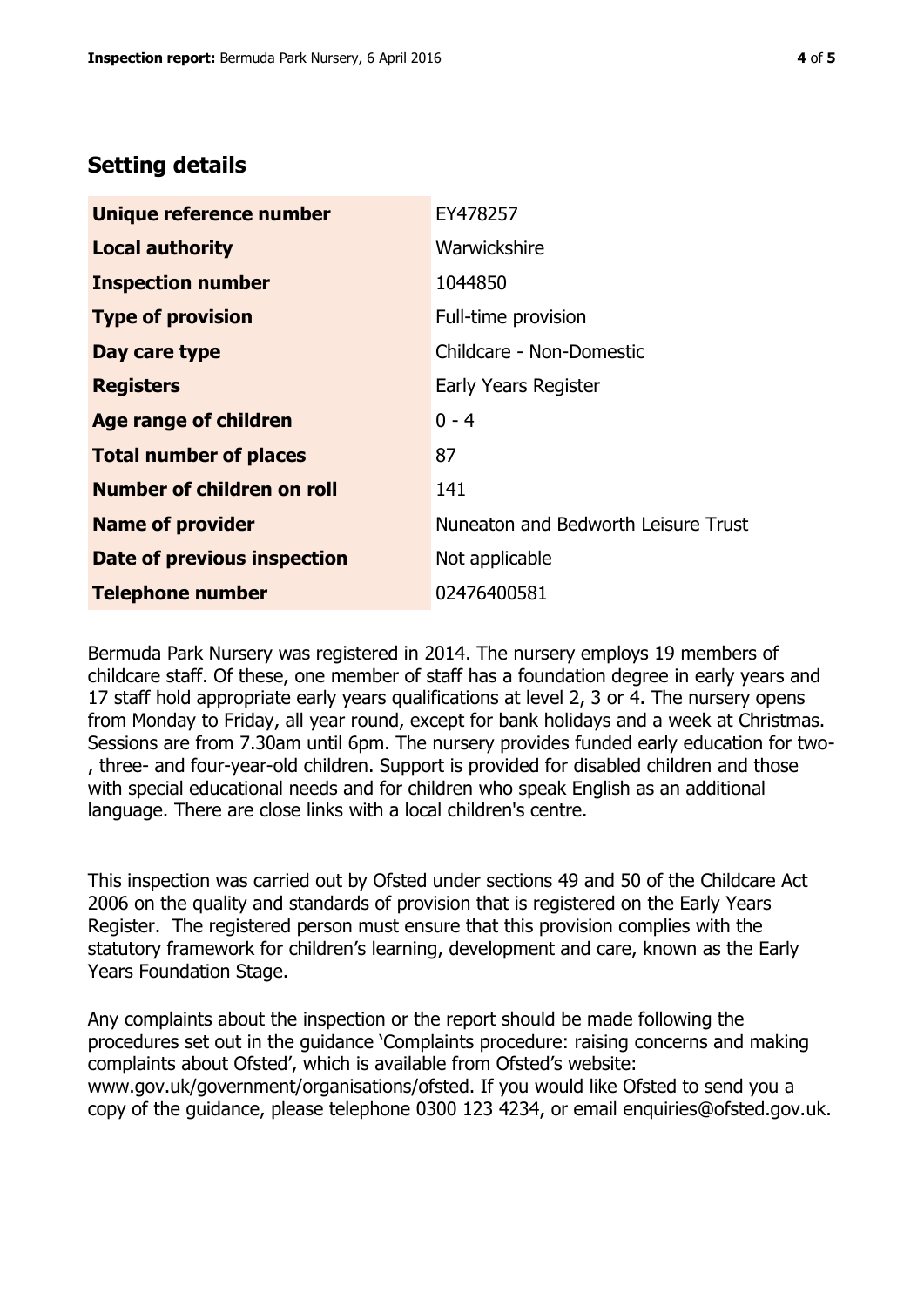## **Setting details**

| Unique reference number       | EY478257                            |
|-------------------------------|-------------------------------------|
| <b>Local authority</b>        | Warwickshire                        |
| <b>Inspection number</b>      | 1044850                             |
| <b>Type of provision</b>      | Full-time provision                 |
| Day care type                 | Childcare - Non-Domestic            |
| <b>Registers</b>              | Early Years Register                |
| <b>Age range of children</b>  | $0 - 4$                             |
| <b>Total number of places</b> | 87                                  |
| Number of children on roll    | 141                                 |
| <b>Name of provider</b>       | Nuneaton and Bedworth Leisure Trust |
| Date of previous inspection   | Not applicable                      |
| <b>Telephone number</b>       | 02476400581                         |

Bermuda Park Nursery was registered in 2014. The nursery employs 19 members of childcare staff. Of these, one member of staff has a foundation degree in early years and 17 staff hold appropriate early years qualifications at level 2, 3 or 4. The nursery opens from Monday to Friday, all year round, except for bank holidays and a week at Christmas. Sessions are from 7.30am until 6pm. The nursery provides funded early education for two- , three- and four-year-old children. Support is provided for disabled children and those with special educational needs and for children who speak English as an additional language. There are close links with a local children's centre.

This inspection was carried out by Ofsted under sections 49 and 50 of the Childcare Act 2006 on the quality and standards of provision that is registered on the Early Years Register. The registered person must ensure that this provision complies with the statutory framework for children's learning, development and care, known as the Early Years Foundation Stage.

Any complaints about the inspection or the report should be made following the procedures set out in the guidance 'Complaints procedure: raising concerns and making complaints about Ofsted', which is available from Ofsted's website: www.gov.uk/government/organisations/ofsted. If you would like Ofsted to send you a copy of the guidance, please telephone 0300 123 4234, or email enquiries@ofsted.gov.uk.